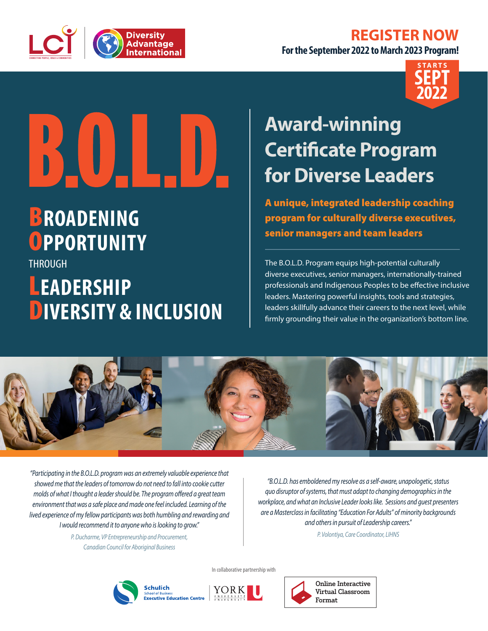## **REGISTER NOW**



**For the September 2022 to March 2023 Program!**



# BOTHED

# B**ROADENING** O**PPORTUNITY**

THROUGH L**EADERSHIP** D**IVERSITY & INCLUSION**

## **Award-winning Certificate Program for Diverse Leaders**

A unique, integrated leadership coaching program for culturally diverse executives, senior managers and team leaders

The B.O.L.D. Program equips high-potential culturally diverse executives, senior managers, internationally-trained professionals and Indigenous Peoples to be effective inclusive leaders. Mastering powerful insights, tools and strategies, leaders skillfully advance their careers to the next level, while firmly grounding their value in the organization's bottom line.



*"Participating in the B.O.L.D. program was an extremely valuable experience that showed me that the leaders of tomorrow do not need to fall into cookie cutter molds of what I thought a leader should be. The program offered a great team environment that was a safe place and made one feel included. Learning of the lived experience of my fellow participants was both humbling and rewarding and I would recommend it to anyone who is looking to grow."*

> *P. Ducharme, VP Entrepreneurship and Procurement, Canadian Council for Aboriginal Business*

*"B.O.L.D. has emboldened my resolve as a self-aware, unapologetic, status quo disruptor of systems, that must adapt to changing demographics in the workplace, and what an Inclusive Leader looks like. Sessions and guest presenters are a Masterclass in facilitating "Education For Adults" of minority backgrounds and others in pursuit of Leadership careers."*

*P. Volontiya, Care Coordinator, LIHNS*







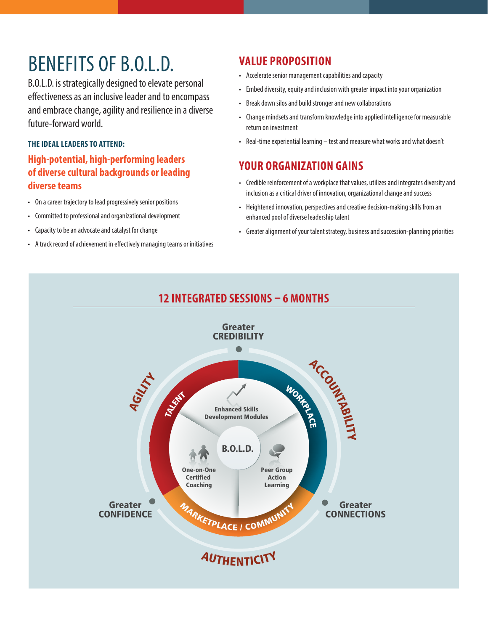## BENEFITS OF B.O.L.D.

B.O.L.D. is strategically designed to elevate personal effectiveness as an inclusive leader and to encompass and embrace change, agility and resilience in a diverse future-forward world.

#### **THE IDEAL LEADERS TO ATTEND:**

#### **High-potential, high-performing leaders of diverse cultural backgrounds or leading diverse teams**

- On a career trajectory to lead progressively senior positions
- Committed to professional and organizational development
- Capacity to be an advocate and catalyst for change
- A track record of achievement in effectively managing teams or initiatives

#### **VALUE PROPOSITION**

- Accelerate senior management capabilities and capacity
- Embed diversity, equity and inclusion with greater impact into your organization
- Break down silos and build stronger and new collaborations
- Change mindsets and transform knowledge into applied intelligence for measurable return on investment
- Real-time experiential learning test and measure what works and what doesn't

#### **YOUR ORGANIZATION GAINS**

- Credible reinforcement of a workplace that values, utilizes and integrates diversity and inclusion as a critical driver of innovation, organizational change and success
- Heightened innovation, perspectives and creative decision-making skills from an enhanced pool of diverse leadership talent
- Greater alignment of your talent strategy, business and succession-planning priorities

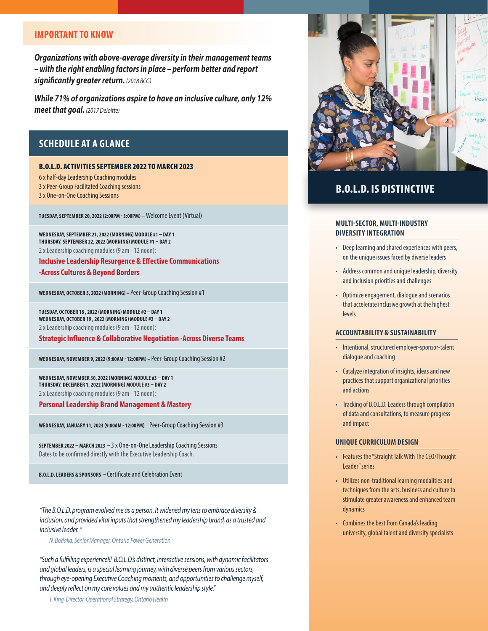#### **IMPORTANT TO KNOW**

*Organizations with above-average diversity in their management teams – with the right enabling factors in place – perform better and report significantly greater return. (2018 BCG)*

*While 71% of organizations aspire to have an inclusive culture, only 12% meet that goal. (2017 Deloitte)*

#### **SCHEDULE AT A GLANCE**

#### B.O.L.D. ACTIVITIES SEPTEMBER 2022 TO MARCH 2023

6 x half-day Leadership Coaching modules 3 x Peer-Group Facilitated Coaching sessions 3 x One-on-One Coaching Sessions

**TUESDAY, SEPTEMBER 20, 2022 (2:00PM - 3:00PM)** – Welcome Event (Virtual)

**WEDNESDAY, SEPTEMBER 21, 2022 (MORNING) MODULE #1 – DAY 1 THURSDAY, SEPTEMBER 22, 2022 (MORNING) MODULE #1 – DAY 2** 2 x Leadership coaching modules (9 am - 12 noon):

**Inclusive Leadership Resurgence & Effective Communications -Across Cultures & Beyond Borders** 

**WEDNESDAY, OCTOBER 5, 2022 (MORNING)** – Peer-Group Coaching Session #1

**TUESDAY, OCTOBER 18 , 2022 (MORNING) MODULE #2 – DAY 1 WEDNESDAY, OCTOBER 19 , 2022 (MORNING) MODULE #2 – DAY 2** 2 x Leadership coaching modules (9 am - 12 noon):

**Strategic Influence & Collaborative Negotiation -Across Diverse Teams**

**WEDNESDAY, NOVEMBER 9, 2022 (9:00AM - 12:00PM)** – Peer-Group Coaching Session #2

**WEDNESDAY, NOVEMBER 30, 2022 (MORNING) MODULE #3 – DAY 1 THURSDAY, DECEMBER 1, 2022 (MORNING) MODULE #3 – DAY 2** 2 x Leadership coaching modules (9 am - 12 noon):

**Personal Leadership Brand Management & Mastery**

**WEDNESDAY, JANUARY 11, 2023 (9:00AM - 12:00PM)** – Peer-Group Coaching Session #3

**SEPTEMBER 2022 – MARCH 2023 –** 3 x One-on-One Leadership Coaching Sessions Dates to be confirmed directly with the Executive Leadership Coach.

**B.O.L.D. LEADERS & SPONSORS –** Certificate and Celebration Event

*"The B.O.L.D. program evolved me as a person. It widened my lens to embrace diversity & inclusion, and provided vital inputs that strengthened my leadership brand, as a trusted and inclusive leader. "*

*N. Bodalia, Senior Manager, Ontario Power Generation*

*"Such a fulfilling experience!!! B.O.L.D.'s distinct, interactive sessions, with dynamic facilitators and global leaders, is a special learning journey, with diverse peers from various sectors, through eye-opening Executive Coaching moments, and opportunities to challenge myself, and deeply reflect on my core values and my authentic leadership style."*

*T. King, Director, Operational Strategy, Ontario Health*



#### B.O.L.D. IS DISTINCTIVE

#### **MULTI-SECTOR, MULTI-INDUSTRY DIVERSITY INTEGRATION**

- Deep learning and shared experiences with peers, on the unique issues faced by diverse leaders
- Address common and unique leadership, diversity and inclusion priorities and challenges
- Optimize engagement, dialogue and scenarios that accelerate inclusive growth at the highest levels

#### **ACCOUNTABILITY & SUSTAINABILITY**

- Intentional, structured employer-sponsor-talent dialogue and coaching
- Catalyze integration of insights, ideas and new practices that support organizational priorities and actions
- Tracking of B.O.L.D. Leaders through compilation of data and consultations, to measure progress and impact

#### **UNIQUE CURRICULUM DESIGN**

- Features the "Straight Talk With The CEO/Thought Leader" series
- Utilizes non-traditional learning modalities and techniques from the arts, business and culture to stimulate greater awareness and enhanced team dynamics
- Combines the best from Canada's leading university, global talent and diversity specialists